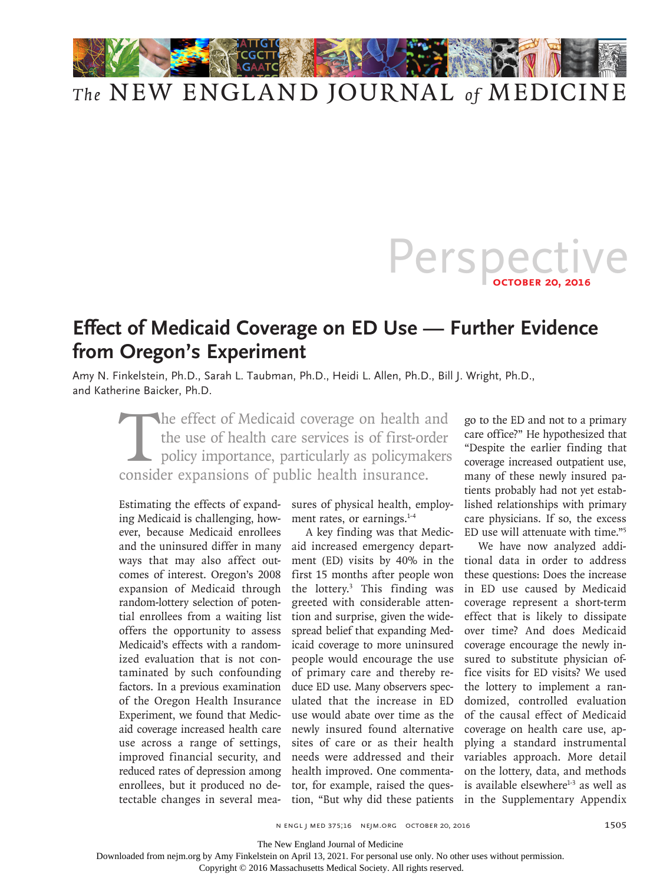

## *The* NEW ENGLAND JOURNAL *of* MEDICINE

## Perspect **October 20, 2016**

## **Effect of Medicaid Coverage on ED Use — Further Evidence from Oregon's Experiment**

Amy N. Finkelstein, Ph.D., Sarah L. Taubman, Ph.D., Heidi L. Allen, Ph.D., Bill J. Wright, Ph.D., and Katherine Baicker, Ph.D.

The effect of Medicaid coverage on health and<br>the use of health care services is of first-order<br>policy importance, particularly as policymakers<br>consider expansions of public health insurance. the use of health care services is of first-order policy importance, particularly as policymakers consider expansions of public health insurance.

Estimating the effects of expanding Medicaid is challenging, however, because Medicaid enrollees and the uninsured differ in many ways that may also affect outcomes of interest. Oregon's 2008 expansion of Medicaid through random-lottery selection of potential enrollees from a waiting list offers the opportunity to assess Medicaid's effects with a randomized evaluation that is not contaminated by such confounding factors. In a previous examination of the Oregon Health Insurance Experiment, we found that Medicaid coverage increased health care use across a range of settings, improved financial security, and reduced rates of depression among enrollees, but it produced no detectable changes in several mea-

sures of physical health, employment rates, or earnings.<sup>1-4</sup>

A key finding was that Medicaid increased emergency department (ED) visits by 40% in the first 15 months after people won the lottery.3 This finding was greeted with considerable attention and surprise, given the widespread belief that expanding Medicaid coverage to more uninsured people would encourage the use of primary care and thereby reduce ED use. Many observers speculated that the increase in ED use would abate over time as the newly insured found alternative sites of care or as their health needs were addressed and their health improved. One commentator, for example, raised the question, "But why did these patients

go to the ED and not to a primary care office?" He hypothesized that "Despite the earlier finding that coverage increased outpatient use, many of these newly insured patients probably had not yet established relationships with primary care physicians. If so, the excess ED use will attenuate with time."5

We have now analyzed additional data in order to address these questions: Does the increase in ED use caused by Medicaid coverage represent a short-term effect that is likely to dissipate over time? And does Medicaid coverage encourage the newly insured to substitute physician office visits for ED visits? We used the lottery to implement a randomized, controlled evaluation of the causal effect of Medicaid coverage on health care use, applying a standard instrumental variables approach. More detail on the lottery, data, and methods is available elsewhere<sup>1-3</sup> as well as in the Supplementary Appendix

The New England Journal of Medicine

Downloaded from nejm.org by Amy Finkelstein on April 13, 2021. For personal use only. No other uses without permission.

Copyright © 2016 Massachusetts Medical Society. All rights reserved.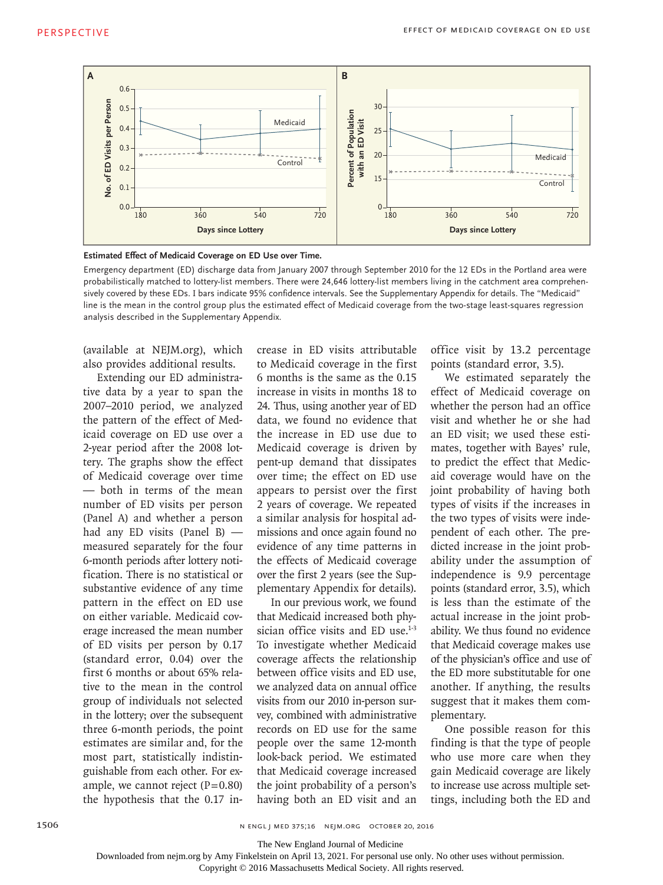

**Estimated Effect of Medicaid Coverage on ED Use over Time.**

Emergency department (ED) discharge data from January 2007 through September 2010 for the 12 EDs in the Portland area were probabilistically matched to lottery-list members. There were 24,646 lottery-list members living in the catchment area comprehensively covered by these EDs. I bars indicate 95% confidence intervals. See the Supplementary Appendix for details. The "Medicaid" line is the mean in the control group plus the estimated effect of Medicaid coverage from the two-stage least-squares regression

(available at NEJM.org), which also provides additional results.

Extending our ED administrative data by a year to span the 2007–2010 period, we analyzed the pattern of the effect of Medicaid coverage on ED use over a 2-year period after the 2008 lottery. The graphs show the effect of Medicaid coverage over time — both in terms of the mean number of ED visits per person (Panel A) and whether a person had any ED visits (Panel B) measured separately for the four 6-month periods after lottery notification. There is no statistical or substantive evidence of any time pattern in the effect on ED use on either variable. Medicaid coverage increased the mean number of ED visits per person by 0.17 (standard error, 0.04) over the first 6 months or about 65% relative to the mean in the control group of individuals not selected in the lottery; over the subsequent three 6-month periods, the point estimates are similar and, for the most part, statistically indistinguishable from each other. For example, we cannot reject  $(P=0.80)$ the hypothesis that the 0.17 increase in ED visits attributable to Medicaid coverage in the first 6 months is the same as the 0.15 increase in visits in months 18 to 24. Thus, using another year of ED data, we found no evidence that the increase in ED use due to Medicaid coverage is driven by pent-up demand that dissipates over time; the effect on ED use appears to persist over the first 2 years of coverage. We repeated a similar analysis for hospital admissions and once again found no evidence of any time patterns in the effects of Medicaid coverage over the first 2 years (see the Supplementary Appendix for details).

In our previous work, we found that Medicaid increased both physician office visits and ED use.<sup>1-3</sup> To investigate whether Medicaid coverage affects the relationship between office visits and ED use, we analyzed data on annual office visits from our 2010 in-person survey, combined with administrative records on ED use for the same people over the same 12-month look-back period. We estimated that Medicaid coverage increased the joint probability of a person's having both an ED visit and an office visit by 13.2 percentage points (standard error, 3.5).

We estimated separately the effect of Medicaid coverage on whether the person had an office visit and whether he or she had an ED visit; we used these estimates, together with Bayes' rule, to predict the effect that Medicaid coverage would have on the joint probability of having both types of visits if the increases in the two types of visits were independent of each other. The predicted increase in the joint probability under the assumption of independence is 9.9 percentage points (standard error, 3.5), which is less than the estimate of the actual increase in the joint probability. We thus found no evidence that Medicaid coverage makes use of the physician's office and use of the ED more substitutable for one another. If anything, the results suggest that it makes them complementary.

One possible reason for this finding is that the type of people who use more care when they gain Medicaid coverage are likely to increase use across multiple settings, including both the ED and

The New England Journal of Medicine

Copyright © 2016 Massachusetts Medical Society. All rights reserved.